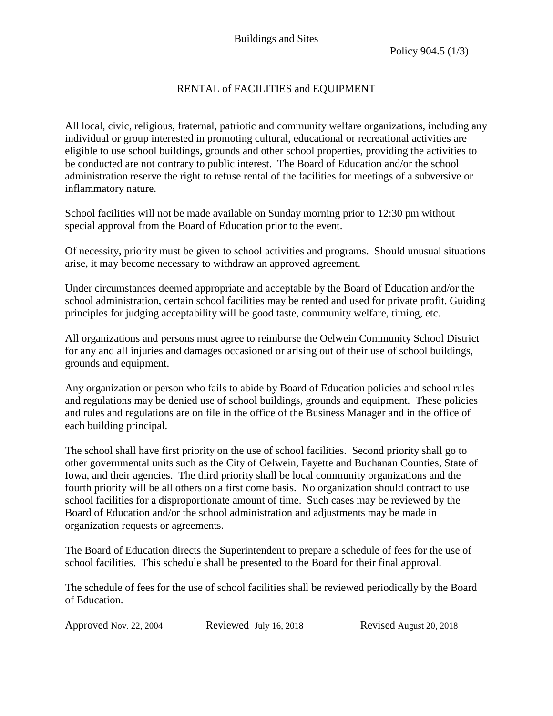administration reserve the right to refuse rental of the facilities for meetings of a subversive or All local, civic, religious, fraternal, patriotic and community welfare organizations, including any individual or group interested in promoting cultural, educational or recreational activities are eligible to use school buildings, grounds and other school properties, providing the activities to be conducted are not contrary to public interest. The Board of Education and/or the school inflammatory nature.

School facilities will not be made available on Sunday morning prior to 12:30 pm without special approval from the Board of Education prior to the event.

Of necessity, priority must be given to school activities and programs. Should unusual situations arise, it may become necessary to withdraw an approved agreement.

 school administration, certain school facilities may be rented and used for private profit. Guiding Under circumstances deemed appropriate and acceptable by the Board of Education and/or the principles for judging acceptability will be good taste, community welfare, timing, etc.

All organizations and persons must agree to reimburse the Oelwein Community School District for any and all injuries and damages occasioned or arising out of their use of school buildings, grounds and equipment.

Any organization or person who fails to abide by Board of Education policies and school rules and regulations may be denied use of school buildings, grounds and equipment. These policies and rules and regulations are on file in the office of the Business Manager and in the office of each building principal.

The school shall have first priority on the use of school facilities. Second priority shall go to other governmental units such as the City of Oelwein, Fayette and Buchanan Counties, State of Iowa, and their agencies. The third priority shall be local community organizations and the fourth priority will be all others on a first come basis. No organization should contract to use school facilities for a disproportionate amount of time. Such cases may be reviewed by the Board of Education and/or the school administration and adjustments may be made in organization requests or agreements.

The Board of Education directs the Superintendent to prepare a schedule of fees for the use of school facilities. This schedule shall be presented to the Board for their final approval.

The schedule of fees for the use of school facilities shall be reviewed periodically by the Board of Education.

Approved Nov. 22, 2004

Reviewed July 16, 2018 Revised August 20, 2018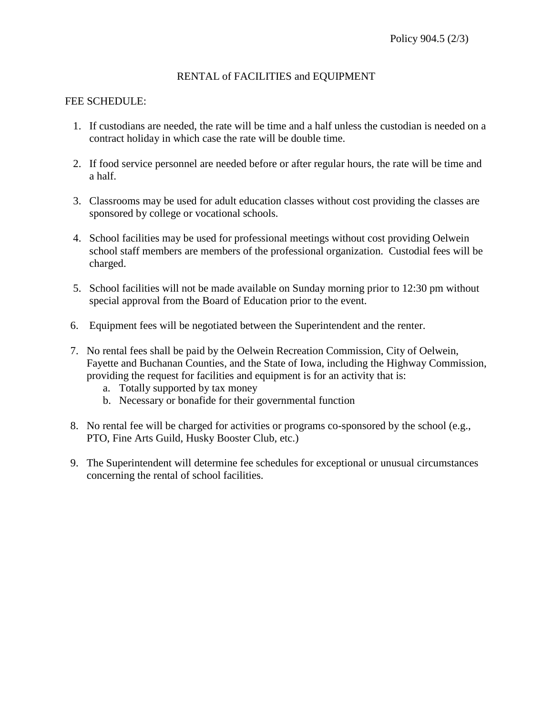### FEE SCHEDULE:

- 1. If custodians are needed, the rate will be time and a half unless the custodian is needed on a contract holiday in which case the rate will be double time.
- 2. If food service personnel are needed before or after regular hours, the rate will be time and a half.
- 3. Classrooms may be used for adult education classes without cost providing the classes are sponsored by college or vocational schools.
- school staff members are members of the professional organization. Custodial fees will be 4. School facilities may be used for professional meetings without cost providing Oelwein charged.
- 5. School facilities will not be made available on Sunday morning prior to 12:30 pm without special approval from the Board of Education prior to the event.
- 6. Equipment fees will be negotiated between the Superintendent and the renter.
- providing the request for facilities and equipment is for an activity that is: 7. No rental fees shall be paid by the Oelwein Recreation Commission, City of Oelwein, Fayette and Buchanan Counties, and the State of Iowa, including the Highway Commission,
	- a. Totally supported by tax money
	- b. Necessary or bonafide for their governmental function
- PTO, Fine Arts Guild, Husky Booster Club, etc.) 8. No rental fee will be charged for activities or programs co-sponsored by the school (e.g.,
- 9. The Superintendent will determine fee schedules for exceptional or unusual circumstances concerning the rental of school facilities.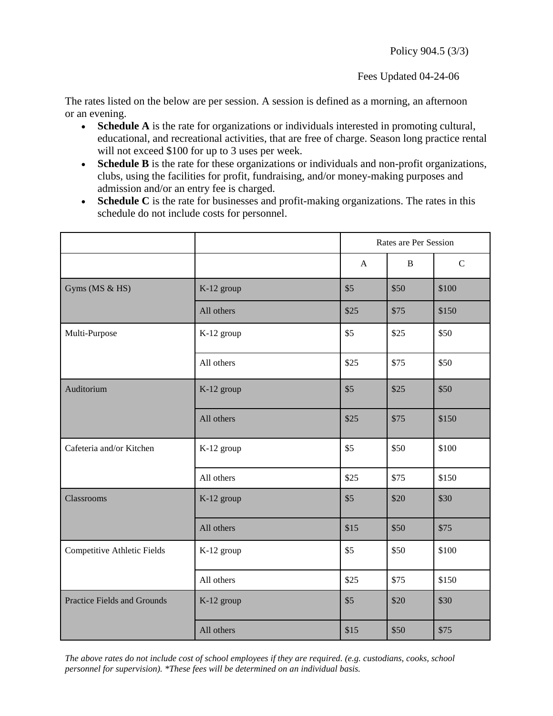Fees Updated 04-24-06

The rates listed on the below are per session. A session is defined as a morning, an afternoon or an evening.

- **Schedule A** is the rate for organizations or individuals interested in promoting cultural, educational, and recreational activities, that are free of charge. Season long practice rental will not exceed \$100 for up to 3 uses per week.
- **Schedule B** is the rate for these organizations or individuals and non-profit organizations, clubs, using the facilities for profit, fundraising, and/or money-making purposes and admission and/or an entry fee is charged.
- Schedule C is the rate for businesses and profit-making organizations. The rates in this schedule do not include costs for personnel.

|                             |            | Rates are Per Session |              |              |
|-----------------------------|------------|-----------------------|--------------|--------------|
|                             |            | $\mathbf{A}$          | $\, {\bf B}$ | $\mathsf{C}$ |
| Gyms (MS & HS)              | K-12 group | \$5                   | \$50         | \$100        |
|                             | All others | \$25                  | \$75         | \$150        |
| Multi-Purpose               | K-12 group | \$5                   | \$25         | \$50         |
|                             | All others | \$25                  | \$75         | \$50         |
| Auditorium                  | K-12 group | \$5                   | \$25         | \$50         |
|                             | All others | \$25                  | \$75         | \$150        |
| Cafeteria and/or Kitchen    | K-12 group | \$5                   | \$50         | \$100        |
|                             | All others | \$25                  | \$75         | \$150        |
| Classrooms                  | K-12 group | \$5                   | \$20         | \$30         |
|                             | All others | \$15                  | \$50         | \$75         |
| Competitive Athletic Fields | K-12 group | \$5                   | \$50         | \$100        |
|                             | All others | \$25                  | \$75         | \$150        |
| Practice Fields and Grounds | K-12 group | \$5                   | \$20         | \$30         |
|                             | All others | \$15                  | \$50         | \$75         |

 *The above rates do not include cost of school employees if they are required. (e.g. custodians, cooks, school personnel for supervision). \*These fees will be determined on an individual basis.*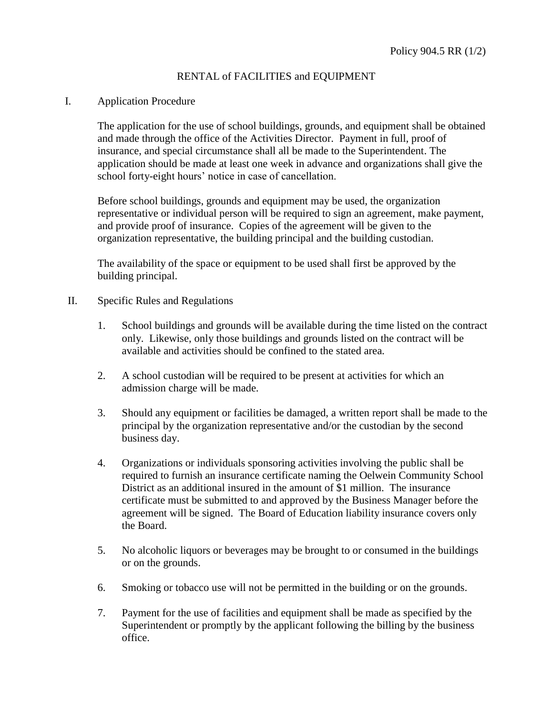#### I. Application Procedure

 The application for the use of school buildings, grounds, and equipment shall be obtained and made through the office of the Activities Director. Payment in full, proof of insurance, and special circumstance shall all be made to the Superintendent. The application should be made at least one week in advance and organizations shall give the school forty-eight hours' notice in case of cancellation.

Before school buildings, grounds and equipment may be used, the organization representative or individual person will be required to sign an agreement, make payment, and provide proof of insurance. Copies of the agreement will be given to the organization representative, the building principal and the building custodian.

The availability of the space or equipment to be used shall first be approved by the building principal.

- II. Specific Rules and Regulations
	- available and activities should be confined to the stated area. 1. School buildings and grounds will be available during the time listed on the contract only. Likewise, only those buildings and grounds listed on the contract will be
	- admission charge will be made. 2. A school custodian will be required to be present at activities for which an
	- 3. Should any equipment or facilities be damaged, a written report shall be made to the principal by the organization representative and/or the custodian by the second business day.
	- 4. Organizations or individuals sponsoring activities involving the public shall be agreement will be signed. The Board of Education liability insurance covers only required to furnish an insurance certificate naming the Oelwein Community School District as an additional insured in the amount of \$1 million. The insurance certificate must be submitted to and approved by the Business Manager before the the Board.
	- 5. No alcoholic liquors or beverages may be brought to or consumed in the buildings or on the grounds.
	- 6. Smoking or tobacco use will not be permitted in the building or on the grounds.
	- 7. Payment for the use of facilities and equipment shall be made as specified by the Superintendent or promptly by the applicant following the billing by the business office.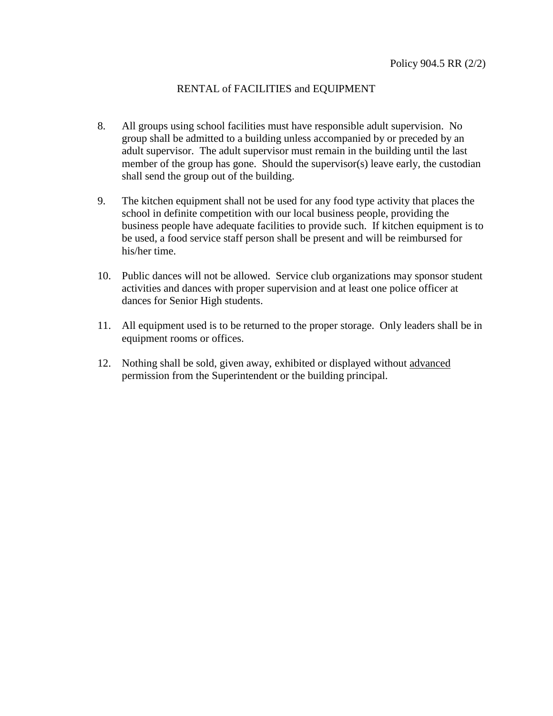- 8. All groups using school facilities must have responsible adult supervision. No group shall be admitted to a building unless accompanied by or preceded by an adult supervisor. The adult supervisor must remain in the building until the last member of the group has gone. Should the supervisor(s) leave early, the custodian shall send the group out of the building.
- 9. The kitchen equipment shall not be used for any food type activity that places the business people have adequate facilities to provide such. If kitchen equipment is to be used, a food service staff person shall be present and will be reimbursed for his/her time. school in definite competition with our local business people, providing the
- 10. Public dances will not be allowed. Service club organizations may sponsor student activities and dances with proper supervision and at least one police officer at dances for Senior High students.
- 11. All equipment used is to be returned to the proper storage. Only leaders shall be in equipment rooms or offices.
- 12. Nothing shall be sold, given away, exhibited or displayed without advanced permission from the Superintendent or the building principal.